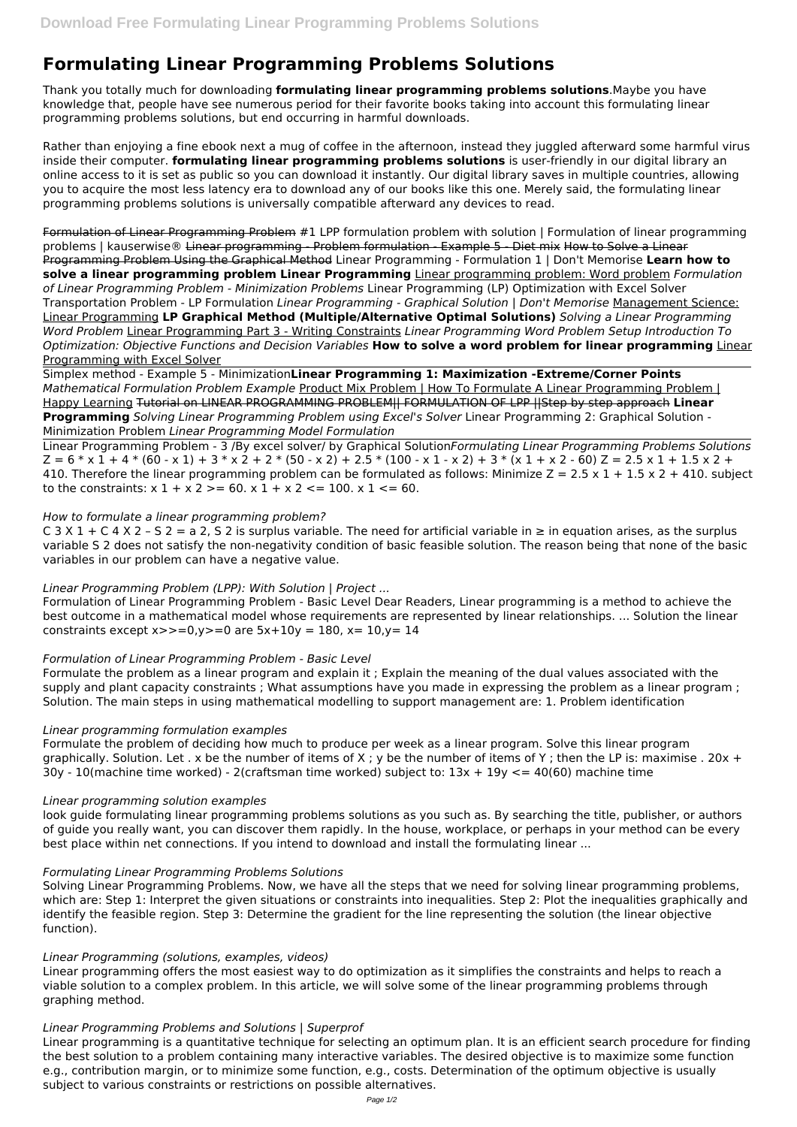# **Formulating Linear Programming Problems Solutions**

Thank you totally much for downloading **formulating linear programming problems solutions**.Maybe you have knowledge that, people have see numerous period for their favorite books taking into account this formulating linear programming problems solutions, but end occurring in harmful downloads.

Rather than enjoying a fine ebook next a mug of coffee in the afternoon, instead they juggled afterward some harmful virus inside their computer. **formulating linear programming problems solutions** is user-friendly in our digital library an online access to it is set as public so you can download it instantly. Our digital library saves in multiple countries, allowing you to acquire the most less latency era to download any of our books like this one. Merely said, the formulating linear programming problems solutions is universally compatible afterward any devices to read.

Linear Programming Problem - 3 /By excel solver/ by Graphical Solution*Formulating Linear Programming Problems Solutions*  $Z = 6 * x 1 + 4 * (60 - x 1) + 3 * x 2 + 2 * (50 - x 2) + 2.5 * (100 - x 1 - x 2) + 3 * (x 1 + x 2 - 60) Z = 2.5 x 1 + 1.5 x 2 +$ 410. Therefore the linear programming problem can be formulated as follows: Minimize  $Z = 2.5 \times 1 + 1.5 \times 2 + 410$ . subject to the constraints:  $x 1 + x 2$  > = 60.  $x 1 + x 2$  < = 100.  $x 1$  < = 60.

Formulation of Linear Programming Problem #1 LPP formulation problem with solution | Formulation of linear programming problems | kauserwise® Linear programming - Problem formulation - Example 5 - Diet mix How to Solve a Linear Programming Problem Using the Graphical Method Linear Programming - Formulation 1 | Don't Memorise **Learn how to solve a linear programming problem Linear Programming** Linear programming problem: Word problem *Formulation of Linear Programming Problem - Minimization Problems* Linear Programming (LP) Optimization with Excel Solver Transportation Problem - LP Formulation *Linear Programming - Graphical Solution | Don't Memorise* Management Science: Linear Programming **LP Graphical Method (Multiple/Alternative Optimal Solutions)** *Solving a Linear Programming Word Problem* Linear Programming Part 3 - Writing Constraints *Linear Programming Word Problem Setup Introduction To Optimization: Objective Functions and Decision Variables* **How to solve a word problem for linear programming** Linear Programming with Excel Solver

C 3 X 1 + C 4 X 2 - S 2 = a 2, S 2 is surplus variable. The need for artificial variable in  $\geq$  in equation arises, as the surplus variable S 2 does not satisfy the non-negativity condition of basic feasible solution. The reason being that none of the basic variables in our problem can have a negative value.

Formulation of Linear Programming Problem - Basic Level Dear Readers, Linear programming is a method to achieve the best outcome in a mathematical model whose requirements are represented by linear relationships. ... Solution the linear constraints except  $x \rightarrow 0, y \rightarrow 0$  are  $5x + 10y = 180$ ,  $x = 10, y = 14$ 

Simplex method - Example 5 - Minimization**Linear Programming 1: Maximization -Extreme/Corner Points** *Mathematical Formulation Problem Example* Product Mix Problem | How To Formulate A Linear Programming Problem | Happy Learning Tutorial on LINEAR PROGRAMMING PROBLEM|| FORMULATION OF LPP ||Step by step approach **Linear Programming** *Solving Linear Programming Problem using Excel's Solver* Linear Programming 2: Graphical Solution - Minimization Problem *Linear Programming Model Formulation*

#### *How to formulate a linear programming problem?*

## *Linear Programming Problem (LPP): With Solution | Project ...*

## *Formulation of Linear Programming Problem - Basic Level*

Formulate the problem as a linear program and explain it ; Explain the meaning of the dual values associated with the supply and plant capacity constraints ; What assumptions have you made in expressing the problem as a linear program ; Solution. The main steps in using mathematical modelling to support management are: 1. Problem identification

## *Linear programming formulation examples*

Formulate the problem of deciding how much to produce per week as a linear program. Solve this linear program graphically. Solution. Let . x be the number of items of X; y be the number of items of Y; then the LP is: maximise . 20x + 30y - 10(machine time worked) - 2(craftsman time worked) subject to: 13x + 19y <= 40(60) machine time

## *Linear programming solution examples*

look guide formulating linear programming problems solutions as you such as. By searching the title, publisher, or authors of guide you really want, you can discover them rapidly. In the house, workplace, or perhaps in your method can be every best place within net connections. If you intend to download and install the formulating linear ...

*Formulating Linear Programming Problems Solutions*

Solving Linear Programming Problems. Now, we have all the steps that we need for solving linear programming problems, which are: Step 1: Interpret the given situations or constraints into inequalities. Step 2: Plot the inequalities graphically and identify the feasible region. Step 3: Determine the gradient for the line representing the solution (the linear objective function).

*Linear Programming (solutions, examples, videos)*

Linear programming offers the most easiest way to do optimization as it simplifies the constraints and helps to reach a viable solution to a complex problem. In this article, we will solve some of the linear programming problems through graphing method.

*Linear Programming Problems and Solutions | Superprof*

Linear programming is a quantitative technique for selecting an optimum plan. It is an efficient search procedure for finding the best solution to a problem containing many interactive variables. The desired objective is to maximize some function e.g., contribution margin, or to minimize some function, e.g., costs. Determination of the optimum objective is usually subject to various constraints or restrictions on possible alternatives.